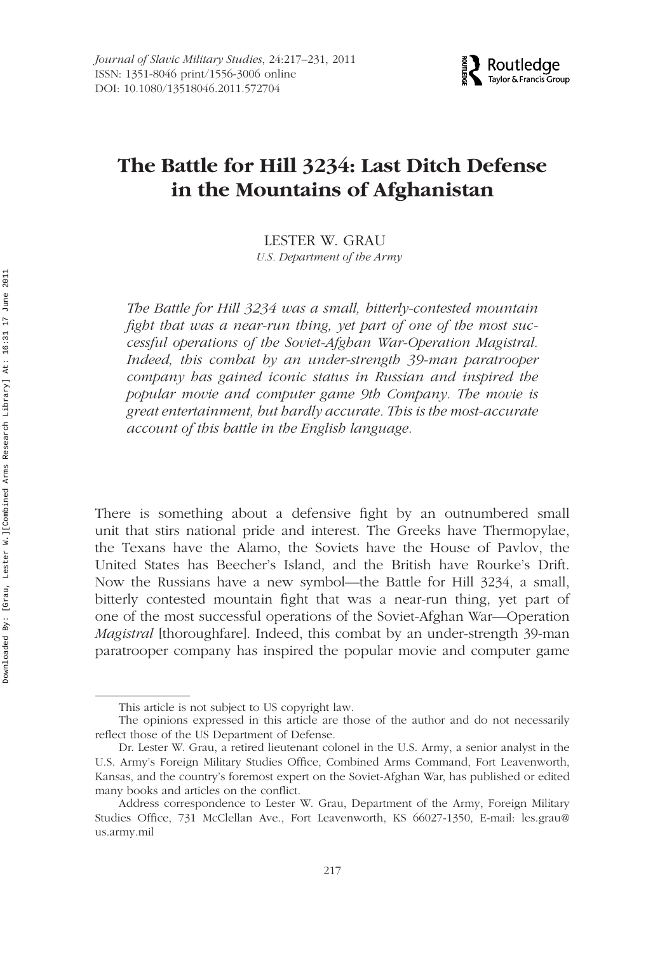

# **The Battle for Hill 3234: Last Ditch Defense in the Mountains of Afghanistan**

#### LESTER W. GRAU

*U.S. Department of the Army*

*The Battle for Hill 3234 was a small, bitterly-contested mountain fight that was a near-run thing, yet part of one of the most successful operations of the Soviet-Afghan War-Operation Magistral. Indeed, this combat by an under-strength 39-man paratrooper company has gained iconic status in Russian and inspired the popular movie and computer game 9th Company. The movie is great entertainment, but hardly accurate. This is the most-accurate account of this battle in the English language.*

There is something about a defensive fight by an outnumbered small unit that stirs national pride and interest. The Greeks have Thermopylae, the Texans have the Alamo, the Soviets have the House of Pavlov, the United States has Beecher's Island, and the British have Rourke's Drift. Now the Russians have a new symbol—the Battle for Hill 3234, a small, bitterly contested mountain fight that was a near-run thing, yet part of one of the most successful operations of the Soviet-Afghan War—Operation *Magistral* [thoroughfare]. Indeed, this combat by an under-strength 39-man paratrooper company has inspired the popular movie and computer game

This article is not subject to US copyright law.

The opinions expressed in this article are those of the author and do not necessarily reflect those of the US Department of Defense.

Dr. Lester W. Grau, a retired lieutenant colonel in the U.S. Army, a senior analyst in the U.S. Army's Foreign Military Studies Office, Combined Arms Command, Fort Leavenworth, Kansas, and the country's foremost expert on the Soviet-Afghan War, has published or edited many books and articles on the conflict.

Address correspondence to Lester W. Grau, Department of the Army, Foreign Military Studies Office, 731 McClellan Ave., Fort Leavenworth, KS 66027-1350, E-mail: les.grau@ us.army.mil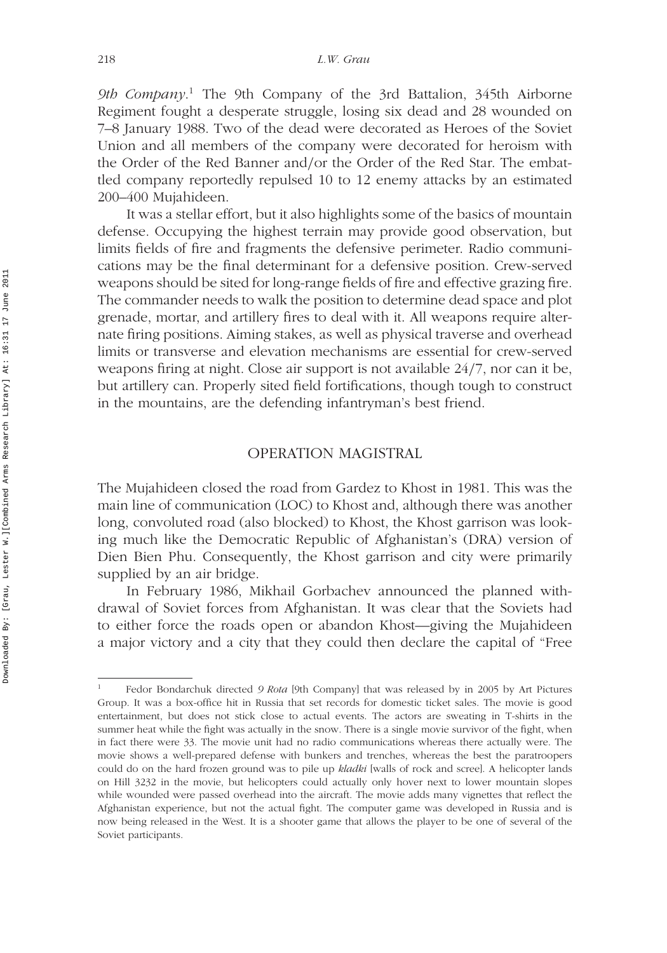*9th Company*. <sup>1</sup> The 9th Company of the 3rd Battalion, 345th Airborne Regiment fought a desperate struggle, losing six dead and 28 wounded on 7–8 January 1988. Two of the dead were decorated as Heroes of the Soviet Union and all members of the company were decorated for heroism with the Order of the Red Banner and*/*or the Order of the Red Star. The embattled company reportedly repulsed 10 to 12 enemy attacks by an estimated 200–400 Mujahideen.

It was a stellar effort, but it also highlights some of the basics of mountain defense. Occupying the highest terrain may provide good observation, but limits fields of fire and fragments the defensive perimeter. Radio communications may be the final determinant for a defensive position. Crew-served weapons should be sited for long-range fields of fire and effective grazing fire. The commander needs to walk the position to determine dead space and plot grenade, mortar, and artillery fires to deal with it. All weapons require alternate firing positions. Aiming stakes, as well as physical traverse and overhead limits or transverse and elevation mechanisms are essential for crew-served weapons firing at night. Close air support is not available 24*/*7, nor can it be, but artillery can. Properly sited field fortifications, though tough to construct in the mountains, are the defending infantryman's best friend.

#### OPERATION MAGISTRAL

The Mujahideen closed the road from Gardez to Khost in 1981. This was the main line of communication (LOC) to Khost and, although there was another long, convoluted road (also blocked) to Khost, the Khost garrison was looking much like the Democratic Republic of Afghanistan's (DRA) version of Dien Bien Phu. Consequently, the Khost garrison and city were primarily supplied by an air bridge.

In February 1986, Mikhail Gorbachev announced the planned withdrawal of Soviet forces from Afghanistan. It was clear that the Soviets had to either force the roads open or abandon Khost—giving the Mujahideen a major victory and a city that they could then declare the capital of "Free

<sup>1</sup> Fedor Bondarchuk directed *9 Rota* [9th Company] that was released by in 2005 by Art Pictures Group. It was a box-office hit in Russia that set records for domestic ticket sales. The movie is good entertainment, but does not stick close to actual events. The actors are sweating in T-shirts in the summer heat while the fight was actually in the snow. There is a single movie survivor of the fight, when in fact there were 33. The movie unit had no radio communications whereas there actually were. The movie shows a well-prepared defense with bunkers and trenches, whereas the best the paratroopers could do on the hard frozen ground was to pile up *kladki* [walls of rock and scree]. A helicopter lands on Hill 3232 in the movie, but helicopters could actually only hover next to lower mountain slopes while wounded were passed overhead into the aircraft. The movie adds many vignettes that reflect the Afghanistan experience, but not the actual fight. The computer game was developed in Russia and is now being released in the West. It is a shooter game that allows the player to be one of several of the Soviet participants.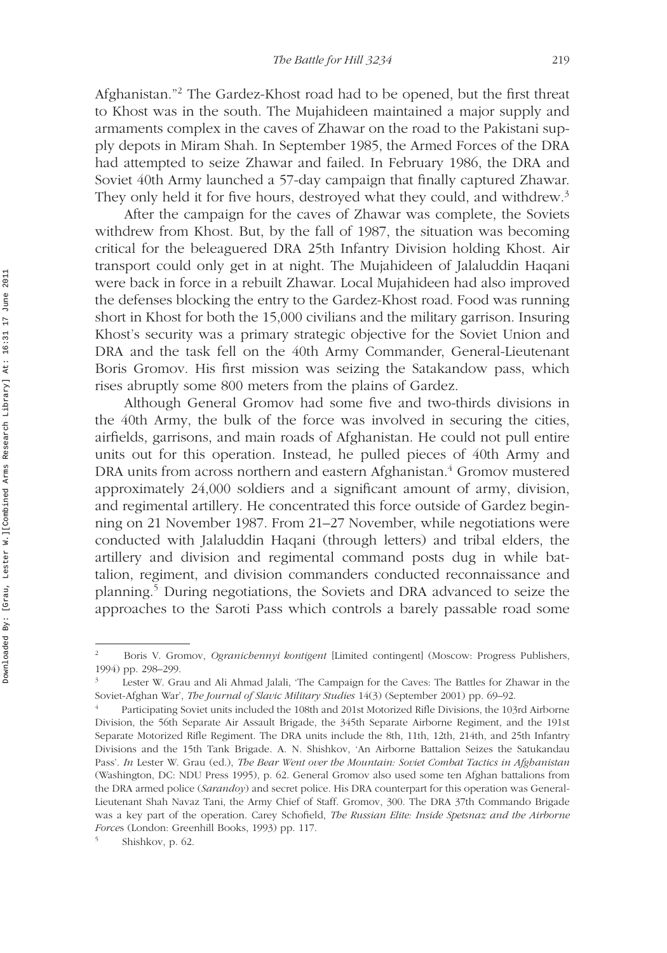Afghanistan."2 The Gardez-Khost road had to be opened, but the first threat to Khost was in the south. The Mujahideen maintained a major supply and armaments complex in the caves of Zhawar on the road to the Pakistani supply depots in Miram Shah. In September 1985, the Armed Forces of the DRA had attempted to seize Zhawar and failed. In February 1986, the DRA and Soviet 40th Army launched a 57-day campaign that finally captured Zhawar. They only held it for five hours, destroyed what they could, and withdrew.<sup>3</sup>

After the campaign for the caves of Zhawar was complete, the Soviets withdrew from Khost. But, by the fall of 1987, the situation was becoming critical for the beleaguered DRA 25th Infantry Division holding Khost. Air transport could only get in at night. The Mujahideen of Jalaluddin Haqani were back in force in a rebuilt Zhawar. Local Mujahideen had also improved the defenses blocking the entry to the Gardez-Khost road. Food was running short in Khost for both the 15,000 civilians and the military garrison. Insuring Khost's security was a primary strategic objective for the Soviet Union and DRA and the task fell on the 40th Army Commander, General-Lieutenant Boris Gromov. His first mission was seizing the Satakandow pass, which rises abruptly some 800 meters from the plains of Gardez.

Although General Gromov had some five and two-thirds divisions in the 40th Army, the bulk of the force was involved in securing the cities, airfields, garrisons, and main roads of Afghanistan. He could not pull entire units out for this operation. Instead, he pulled pieces of 40th Army and DRA units from across northern and eastern Afghanistan.<sup>4</sup> Gromov mustered approximately 24,000 soldiers and a significant amount of army, division, and regimental artillery. He concentrated this force outside of Gardez beginning on 21 November 1987. From 21–27 November, while negotiations were conducted with Jalaluddin Haqani (through letters) and tribal elders, the artillery and division and regimental command posts dug in while battalion, regiment, and division commanders conducted reconnaissance and planning.5 During negotiations, the Soviets and DRA advanced to seize the approaches to the Saroti Pass which controls a barely passable road some

<sup>2</sup> Boris V. Gromov, *Ogranichennyi kontigent* [Limited contingent] (Moscow: Progress Publishers, 1994) pp. 298–299.

<sup>3</sup> Lester W. Grau and Ali Ahmad Jalali, 'The Campaign for the Caves: The Battles for Zhawar in the Soviet-Afghan War', *The Journal of Slavic Military Studies* 14(3) (September 2001) pp. 69–92.

<sup>4</sup> Participating Soviet units included the 108th and 201st Motorized Rifle Divisions, the 103rd Airborne Division, the 56th Separate Air Assault Brigade, the 345th Separate Airborne Regiment, and the 191st Separate Motorized Rifle Regiment. The DRA units include the 8th, 11th, 12th, 214th, and 25th Infantry Divisions and the 15th Tank Brigade. A. N. Shishkov, 'An Airborne Battalion Seizes the Satukandau Pass'. *In* Lester W. Grau (ed.), *The Bear Went over the Mountain: Soviet Combat Tactics in Afghanistan* (Washington, DC: NDU Press 1995), p. 62. General Gromov also used some ten Afghan battalions from the DRA armed police (*Sarandoy*) and secret police. His DRA counterpart for this operation was General-Lieutenant Shah Navaz Tani, the Army Chief of Staff. Gromov, 300. The DRA 37th Commando Brigade was a key part of the operation. Carey Schofield, *The Russian Elite: Inside Spetsnaz and the Airborne Force*s (London: Greenhill Books, 1993) pp. 117.

Shishkov, p. 62.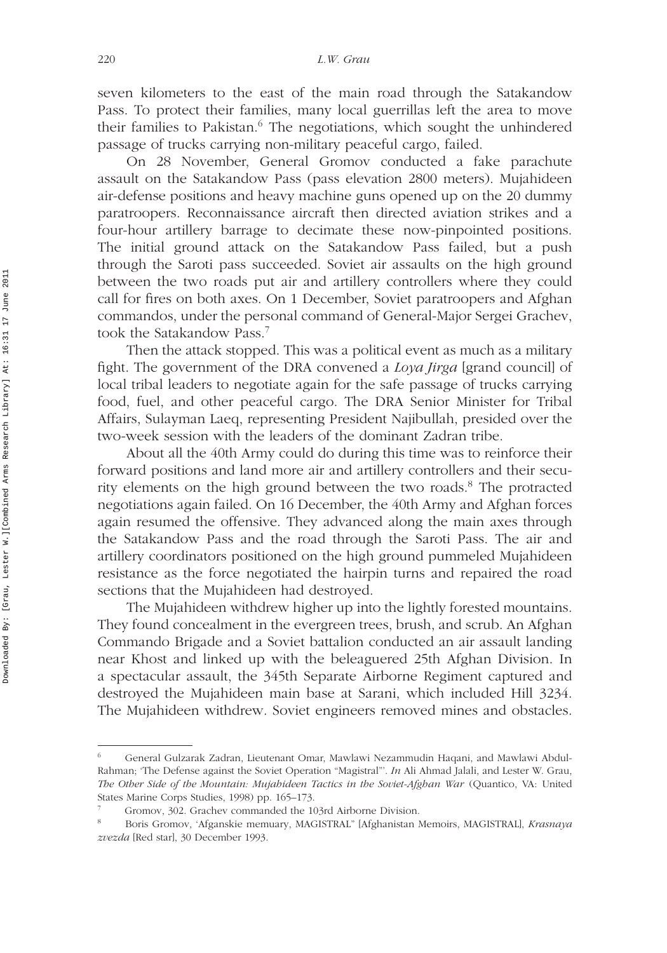seven kilometers to the east of the main road through the Satakandow Pass. To protect their families, many local guerrillas left the area to move their families to Pakistan.<sup>6</sup> The negotiations, which sought the unhindered passage of trucks carrying non-military peaceful cargo, failed.

On 28 November, General Gromov conducted a fake parachute assault on the Satakandow Pass (pass elevation 2800 meters). Mujahideen air-defense positions and heavy machine guns opened up on the 20 dummy paratroopers. Reconnaissance aircraft then directed aviation strikes and a four-hour artillery barrage to decimate these now-pinpointed positions. The initial ground attack on the Satakandow Pass failed, but a push through the Saroti pass succeeded. Soviet air assaults on the high ground between the two roads put air and artillery controllers where they could call for fires on both axes. On 1 December, Soviet paratroopers and Afghan commandos, under the personal command of General-Major Sergei Grachev, took the Satakandow Pass.7

Then the attack stopped. This was a political event as much as a military fight. The government of the DRA convened a *Loya Jirga* [grand council] of local tribal leaders to negotiate again for the safe passage of trucks carrying food, fuel, and other peaceful cargo. The DRA Senior Minister for Tribal Affairs, Sulayman Laeq, representing President Najibullah, presided over the two-week session with the leaders of the dominant Zadran tribe.

About all the 40th Army could do during this time was to reinforce their forward positions and land more air and artillery controllers and their security elements on the high ground between the two roads.<sup>8</sup> The protracted negotiations again failed. On 16 December, the 40th Army and Afghan forces again resumed the offensive. They advanced along the main axes through the Satakandow Pass and the road through the Saroti Pass. The air and artillery coordinators positioned on the high ground pummeled Mujahideen resistance as the force negotiated the hairpin turns and repaired the road sections that the Mujahideen had destroyed.

The Mujahideen withdrew higher up into the lightly forested mountains. They found concealment in the evergreen trees, brush, and scrub. An Afghan Commando Brigade and a Soviet battalion conducted an air assault landing near Khost and linked up with the beleaguered 25th Afghan Division. In a spectacular assault, the 345th Separate Airborne Regiment captured and destroyed the Mujahideen main base at Sarani, which included Hill 3234. The Mujahideen withdrew. Soviet engineers removed mines and obstacles.

<sup>6</sup> General Gulzarak Zadran, Lieutenant Omar, Mawlawi Nezammudin Haqani, and Mawlawi Abdul-Rahman; 'The Defense against the Soviet Operation "Magistral"'. *In* Ali Ahmad Jalali, and Lester W. Grau, *The Other Side of the Mountain: Mujahideen Tactics in the Soviet-Afghan War* (Quantico, VA: United States Marine Corps Studies, 1998) pp. 165–173.

<sup>7</sup> Gromov, 302. Grachev commanded the 103rd Airborne Division.

<sup>8</sup> Boris Gromov, 'Afganskie memuary, MAGISTRAL" [Afghanistan Memoirs, MAGISTRAL], *Krasnaya zvezda* [Red star], 30 December 1993.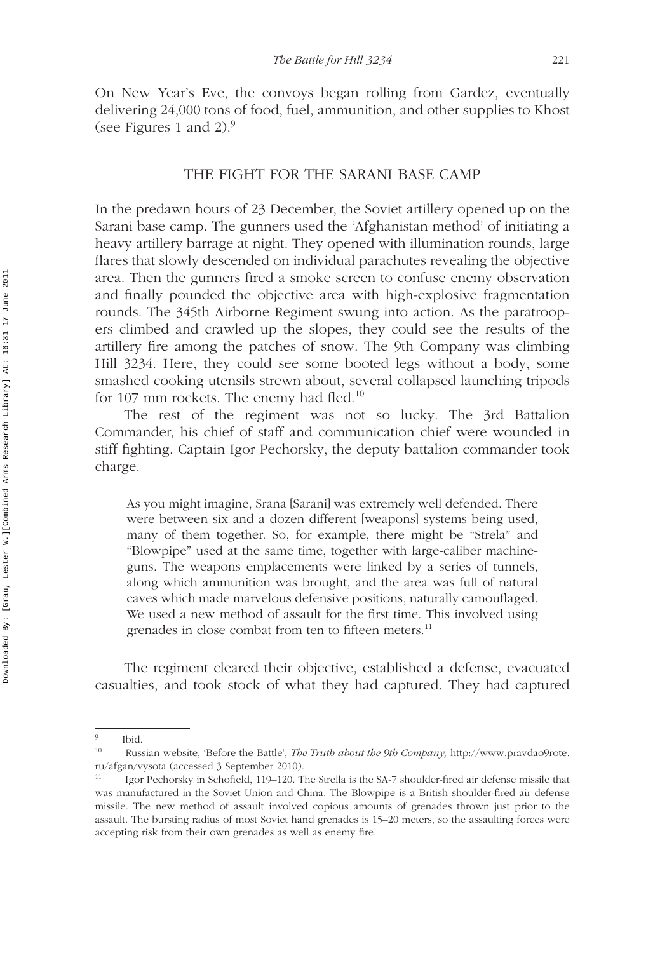On New Year's Eve, the convoys began rolling from Gardez, eventually delivering 24,000 tons of food, fuel, ammunition, and other supplies to Khost (see Figures 1 and 2). $9$ 

#### THE FIGHT FOR THE SARANI BASE CAMP

In the predawn hours of 23 December, the Soviet artillery opened up on the Sarani base camp. The gunners used the 'Afghanistan method' of initiating a heavy artillery barrage at night. They opened with illumination rounds, large flares that slowly descended on individual parachutes revealing the objective area. Then the gunners fired a smoke screen to confuse enemy observation and finally pounded the objective area with high-explosive fragmentation rounds. The 345th Airborne Regiment swung into action. As the paratroopers climbed and crawled up the slopes, they could see the results of the artillery fire among the patches of snow. The 9th Company was climbing Hill 3234. Here, they could see some booted legs without a body, some smashed cooking utensils strewn about, several collapsed launching tripods for 107 mm rockets. The enemy had fled.<sup>10</sup>

The rest of the regiment was not so lucky. The 3rd Battalion Commander, his chief of staff and communication chief were wounded in stiff fighting. Captain Igor Pechorsky, the deputy battalion commander took charge.

As you might imagine, Srana [Sarani] was extremely well defended. There were between six and a dozen different [weapons] systems being used, many of them together. So, for example, there might be "Strela" and "Blowpipe" used at the same time, together with large-caliber machineguns. The weapons emplacements were linked by a series of tunnels, along which ammunition was brought, and the area was full of natural caves which made marvelous defensive positions, naturally camouflaged. We used a new method of assault for the first time. This involved using grenades in close combat from ten to fifteen meters.<sup>11</sup>

The regiment cleared their objective, established a defense, evacuated casualties, and took stock of what they had captured. They had captured

 $\frac{9}{10}$  Ibid.

<sup>10</sup> Russian website, 'Before the Battle', *The Truth about the 9th Company,* http://www.pravdao9rote. ru/afgan/vysota (accessed 3 September 2010).

<sup>&</sup>lt;sup>11</sup> Igor Pechorsky in Schofield, 119–120. The Strella is the SA-7 shoulder-fired air defense missile that was manufactured in the Soviet Union and China. The Blowpipe is a British shoulder-fired air defense missile. The new method of assault involved copious amounts of grenades thrown just prior to the assault. The bursting radius of most Soviet hand grenades is 15–20 meters, so the assaulting forces were accepting risk from their own grenades as well as enemy fire.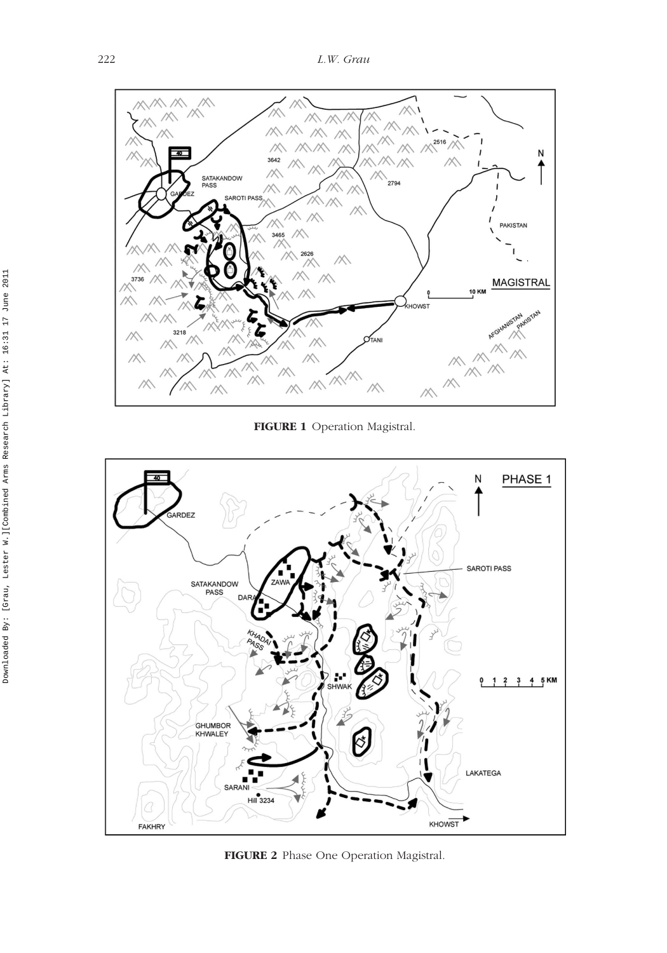

**FIGURE 1** Operation Magistral.



**FIGURE 2** Phase One Operation Magistral.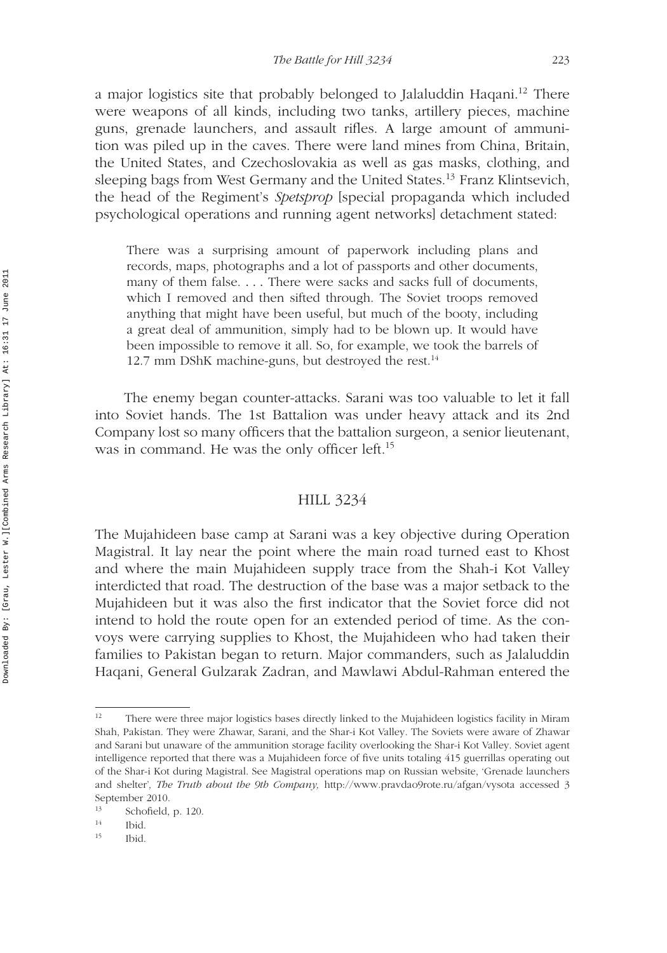a major logistics site that probably belonged to Jalaluddin Haqani.12 There were weapons of all kinds, including two tanks, artillery pieces, machine guns, grenade launchers, and assault rifles. A large amount of ammunition was piled up in the caves. There were land mines from China, Britain, the United States, and Czechoslovakia as well as gas masks, clothing, and sleeping bags from West Germany and the United States.<sup>13</sup> Franz Klintsevich, the head of the Regiment's *Spetsprop* [special propaganda which included psychological operations and running agent networks] detachment stated:

There was a surprising amount of paperwork including plans and records, maps, photographs and a lot of passports and other documents, many of them false. *...* There were sacks and sacks full of documents, which I removed and then sifted through. The Soviet troops removed anything that might have been useful, but much of the booty, including a great deal of ammunition, simply had to be blown up. It would have been impossible to remove it all. So, for example, we took the barrels of 12.7 mm DShK machine-guns, but destroyed the rest.<sup>14</sup>

The enemy began counter-attacks. Sarani was too valuable to let it fall into Soviet hands. The 1st Battalion was under heavy attack and its 2nd Company lost so many officers that the battalion surgeon, a senior lieutenant, was in command. He was the only officer left.<sup>15</sup>

## HILL 3234

The Mujahideen base camp at Sarani was a key objective during Operation Magistral. It lay near the point where the main road turned east to Khost and where the main Mujahideen supply trace from the Shah-i Kot Valley interdicted that road. The destruction of the base was a major setback to the Mujahideen but it was also the first indicator that the Soviet force did not intend to hold the route open for an extended period of time. As the convoys were carrying supplies to Khost, the Mujahideen who had taken their families to Pakistan began to return. Major commanders, such as Jalaluddin Haqani, General Gulzarak Zadran, and Mawlawi Abdul-Rahman entered the

<sup>&</sup>lt;sup>12</sup> There were three major logistics bases directly linked to the Mujahideen logistics facility in Miram Shah, Pakistan. They were Zhawar, Sarani, and the Shar-i Kot Valley. The Soviets were aware of Zhawar and Sarani but unaware of the ammunition storage facility overlooking the Shar-i Kot Valley. Soviet agent intelligence reported that there was a Mujahideen force of five units totaling 415 guerrillas operating out of the Shar-i Kot during Magistral. See Magistral operations map on Russian website, 'Grenade launchers and shelter'*, The Truth about the 9th Company,* http://www.pravdao9rote.ru/afgan/vysota accessed 3 September 2010.

 $\frac{13}{14}$  Schofield, p. 120.

 $\frac{14}{15}$  Ibid.

<sup>15</sup> Ibid.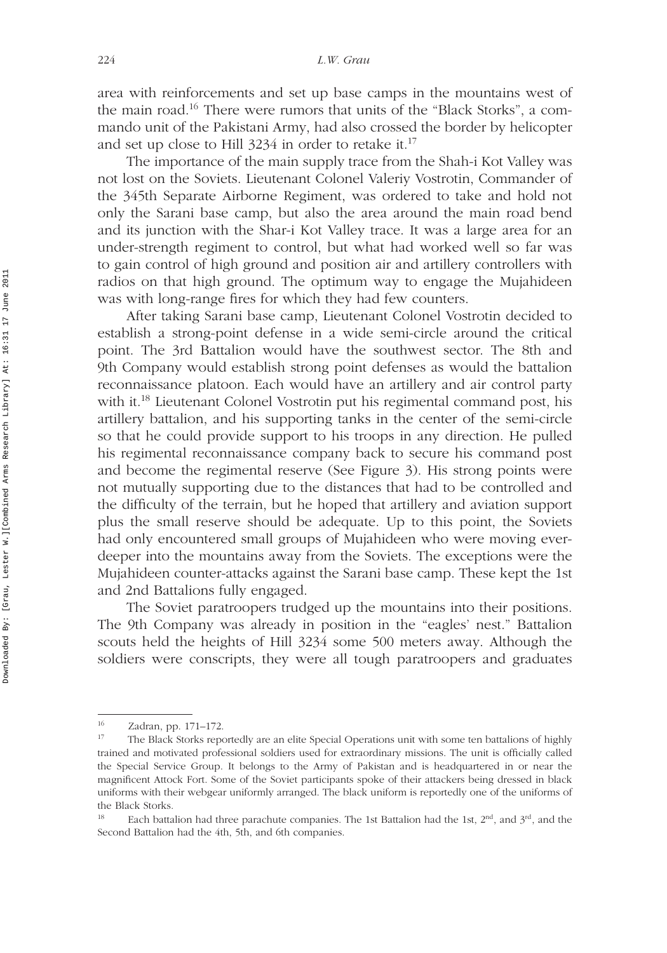area with reinforcements and set up base camps in the mountains west of the main road.16 There were rumors that units of the "Black Storks", a commando unit of the Pakistani Army, had also crossed the border by helicopter and set up close to Hill  $3234$  in order to retake it.<sup>17</sup>

The importance of the main supply trace from the Shah-i Kot Valley was not lost on the Soviets. Lieutenant Colonel Valeriy Vostrotin, Commander of the 345th Separate Airborne Regiment, was ordered to take and hold not only the Sarani base camp, but also the area around the main road bend and its junction with the Shar-i Kot Valley trace. It was a large area for an under-strength regiment to control, but what had worked well so far was to gain control of high ground and position air and artillery controllers with radios on that high ground. The optimum way to engage the Mujahideen was with long-range fires for which they had few counters.

After taking Sarani base camp, Lieutenant Colonel Vostrotin decided to establish a strong-point defense in a wide semi-circle around the critical point. The 3rd Battalion would have the southwest sector. The 8th and 9th Company would establish strong point defenses as would the battalion reconnaissance platoon. Each would have an artillery and air control party with it.<sup>18</sup> Lieutenant Colonel Vostrotin put his regimental command post, his artillery battalion, and his supporting tanks in the center of the semi-circle so that he could provide support to his troops in any direction. He pulled his regimental reconnaissance company back to secure his command post and become the regimental reserve (See Figure 3). His strong points were not mutually supporting due to the distances that had to be controlled and the difficulty of the terrain, but he hoped that artillery and aviation support plus the small reserve should be adequate. Up to this point, the Soviets had only encountered small groups of Mujahideen who were moving everdeeper into the mountains away from the Soviets. The exceptions were the Mujahideen counter-attacks against the Sarani base camp. These kept the 1st and 2nd Battalions fully engaged.

The Soviet paratroopers trudged up the mountains into their positions. The 9th Company was already in position in the "eagles' nest." Battalion scouts held the heights of Hill 3234 some 500 meters away. Although the soldiers were conscripts, they were all tough paratroopers and graduates

<sup>16</sup> Zadran, pp. 171–172.

<sup>&</sup>lt;sup>17</sup> The Black Storks reportedly are an elite Special Operations unit with some ten battalions of highly trained and motivated professional soldiers used for extraordinary missions. The unit is officially called the Special Service Group. It belongs to the Army of Pakistan and is headquartered in or near the magnificent Attock Fort. Some of the Soviet participants spoke of their attackers being dressed in black uniforms with their webgear uniformly arranged. The black uniform is reportedly one of the uniforms of the Black Storks.

<sup>&</sup>lt;sup>18</sup> Each battalion had three parachute companies. The 1st Battalion had the 1st,  $2<sup>nd</sup>$ , and  $3<sup>rd</sup>$ , and the Second Battalion had the 4th, 5th, and 6th companies.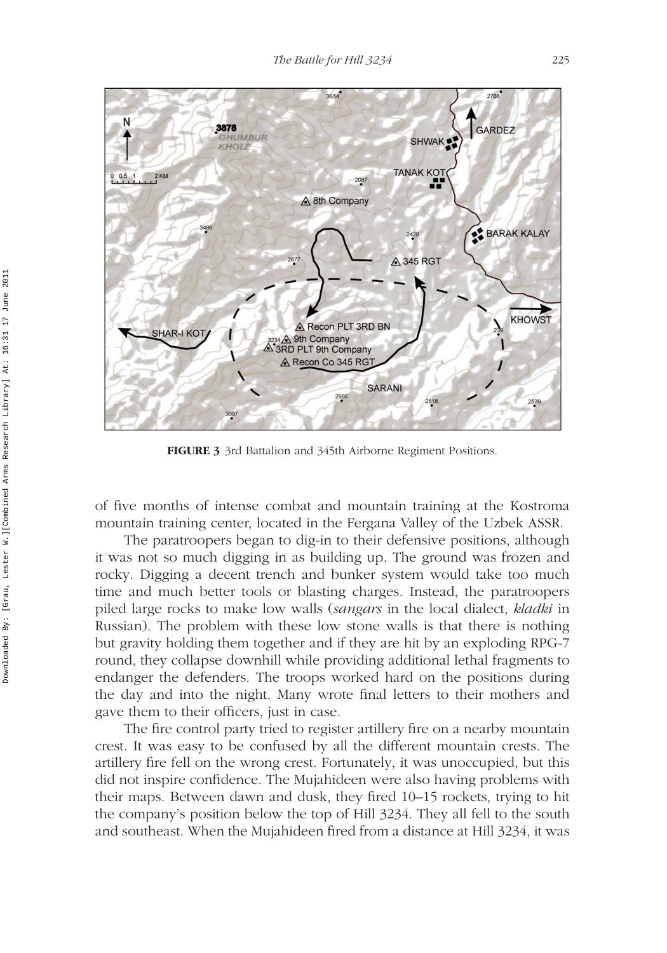

**FIGURE 3** 3rd Battalion and 345th Airborne Regiment Positions.

of five months of intense combat and mountain training at the Kostroma mountain training center, located in the Fergana Valley of the Uzbek ASSR.

The paratroopers began to dig-in to their defensive positions, although it was not so much digging in as building up. The ground was frozen and rocky. Digging a decent trench and bunker system would take too much time and much better tools or blasting charges. Instead, the paratroopers piled large rocks to make low walls (*sangars* in the local dialect, *kladki* in Russian). The problem with these low stone walls is that there is nothing but gravity holding them together and if they are hit by an exploding RPG-7 round, they collapse downhill while providing additional lethal fragments to endanger the defenders. The troops worked hard on the positions during the day and into the night. Many wrote final letters to their mothers and gave them to their officers, just in case.

The fire control party tried to register artillery fire on a nearby mountain crest. It was easy to be confused by all the different mountain crests. The artillery fire fell on the wrong crest. Fortunately, it was unoccupied, but this did not inspire confidence. The Mujahideen were also having problems with their maps. Between dawn and dusk, they fired 10–15 rockets, trying to hit the company's position below the top of Hill 3234. They all fell to the south and southeast. When the Mujahideen fired from a distance at Hill 3234, it was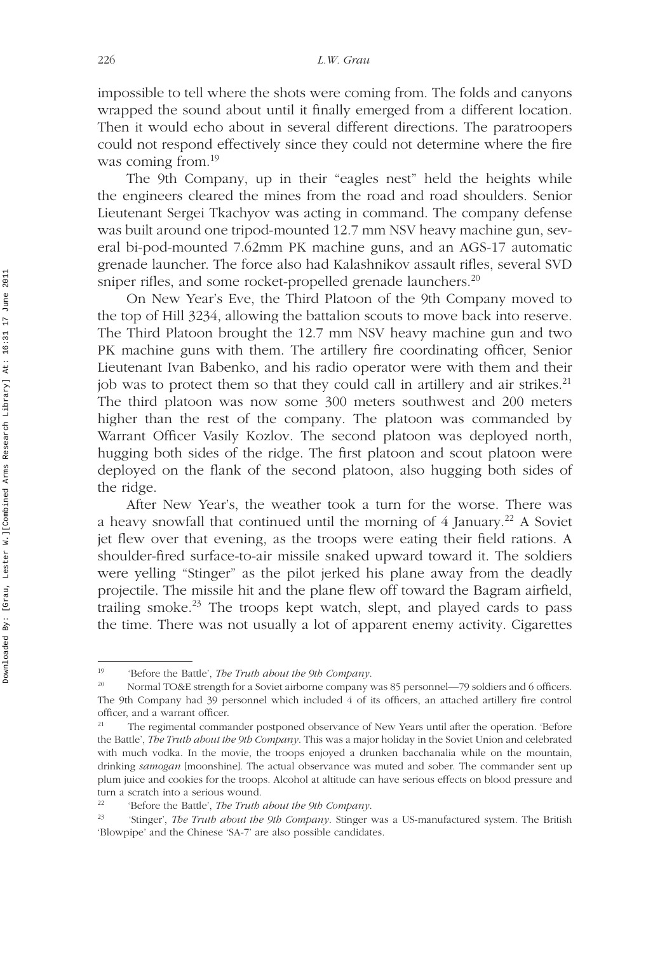impossible to tell where the shots were coming from. The folds and canyons wrapped the sound about until it finally emerged from a different location. Then it would echo about in several different directions. The paratroopers could not respond effectively since they could not determine where the fire was coming from.<sup>19</sup>

The 9th Company, up in their "eagles nest" held the heights while the engineers cleared the mines from the road and road shoulders. Senior Lieutenant Sergei Tkachyov was acting in command. The company defense was built around one tripod-mounted 12.7 mm NSV heavy machine gun, several bi-pod-mounted 7.62mm PK machine guns, and an AGS-17 automatic grenade launcher. The force also had Kalashnikov assault rifles, several SVD sniper rifles, and some rocket-propelled grenade launchers.<sup>20</sup>

On New Year's Eve, the Third Platoon of the 9th Company moved to the top of Hill 3234, allowing the battalion scouts to move back into reserve. The Third Platoon brought the 12.7 mm NSV heavy machine gun and two PK machine guns with them. The artillery fire coordinating officer, Senior Lieutenant Ivan Babenko, and his radio operator were with them and their job was to protect them so that they could call in artillery and air strikes.<sup>21</sup> The third platoon was now some 300 meters southwest and 200 meters higher than the rest of the company. The platoon was commanded by Warrant Officer Vasily Kozlov. The second platoon was deployed north, hugging both sides of the ridge. The first platoon and scout platoon were deployed on the flank of the second platoon, also hugging both sides of the ridge.

After New Year's, the weather took a turn for the worse. There was a heavy snowfall that continued until the morning of  $4$  January.<sup>22</sup> A Soviet jet flew over that evening, as the troops were eating their field rations. A shoulder-fired surface-to-air missile snaked upward toward it. The soldiers were yelling "Stinger" as the pilot jerked his plane away from the deadly projectile. The missile hit and the plane flew off toward the Bagram airfield, trailing smoke.<sup>23</sup> The troops kept watch, slept, and played cards to pass the time. There was not usually a lot of apparent enemy activity. Cigarettes

<sup>19</sup> 'Before the Battle', *The Truth about the 9th Company*.

<sup>20</sup> Normal TO&E strength for a Soviet airborne company was 85 personnel—79 soldiers and 6 officers. The 9th Company had 39 personnel which included 4 of its officers, an attached artillery fire control officer, and a warrant officer.

<sup>21</sup> The regimental commander postponed observance of New Years until after the operation. 'Before the Battle', *The Truth about the 9th Company*. This was a major holiday in the Soviet Union and celebrated with much vodka. In the movie, the troops enjoyed a drunken bacchanalia while on the mountain, drinking *samogan* [moonshine]. The actual observance was muted and sober. The commander sent up plum juice and cookies for the troops. Alcohol at altitude can have serious effects on blood pressure and turn a scratch into a serious wound.<br> $^{22}$   $^{12}$   $^{12}$   $^{12}$   $^{12}$   $^{12}$   $^{12}$   $^{12}$   $^{12}$   $^{12}$   $^{12}$   $^{12}$   $^{12}$   $^{12}$   $^{12}$   $^{12}$ 

<sup>&#</sup>x27;Before the Battle', *The Truth about the 9th Company*.

<sup>23</sup> 'Stinger', *The Truth about the 9th Company*. Stinger was a US-manufactured system. The British 'Blowpipe' and the Chinese 'SA-7' are also possible candidates.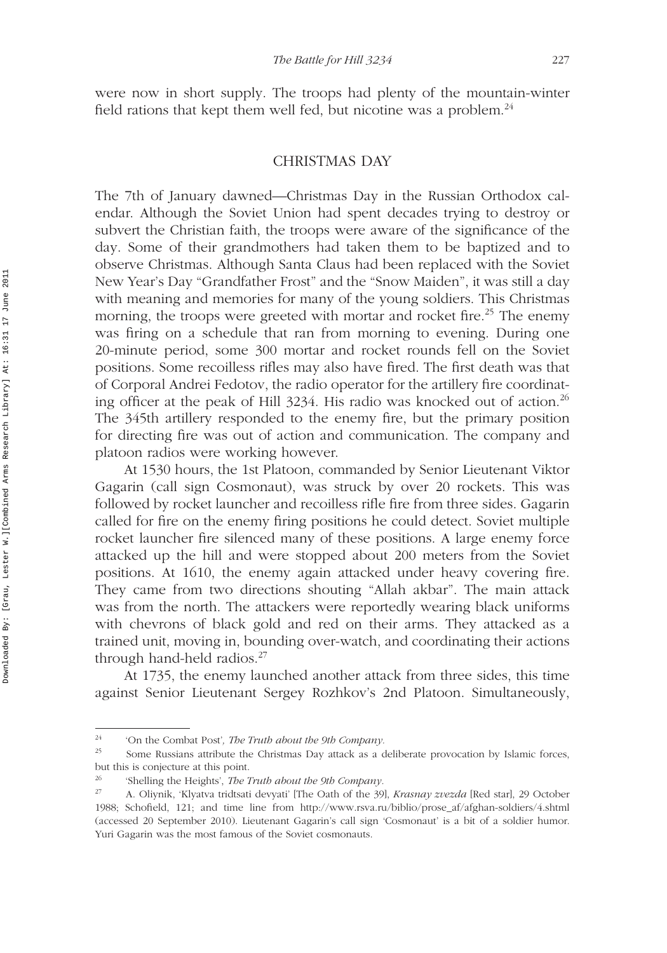were now in short supply. The troops had plenty of the mountain-winter field rations that kept them well fed, but nicotine was a problem. $^{24}$ 

## CHRISTMAS DAY

The 7th of January dawned—Christmas Day in the Russian Orthodox calendar. Although the Soviet Union had spent decades trying to destroy or subvert the Christian faith, the troops were aware of the significance of the day. Some of their grandmothers had taken them to be baptized and to observe Christmas. Although Santa Claus had been replaced with the Soviet New Year's Day "Grandfather Frost" and the "Snow Maiden", it was still a day with meaning and memories for many of the young soldiers. This Christmas morning, the troops were greeted with mortar and rocket fire.<sup>25</sup> The enemy was firing on a schedule that ran from morning to evening. During one 20-minute period, some 300 mortar and rocket rounds fell on the Soviet positions. Some recoilless rifles may also have fired. The first death was that of Corporal Andrei Fedotov, the radio operator for the artillery fire coordinating officer at the peak of Hill  $3234$ . His radio was knocked out of action.<sup>26</sup> The 345th artillery responded to the enemy fire, but the primary position for directing fire was out of action and communication. The company and platoon radios were working however.

At 1530 hours, the 1st Platoon, commanded by Senior Lieutenant Viktor Gagarin (call sign Cosmonaut), was struck by over 20 rockets. This was followed by rocket launcher and recoilless rifle fire from three sides. Gagarin called for fire on the enemy firing positions he could detect. Soviet multiple rocket launcher fire silenced many of these positions. A large enemy force attacked up the hill and were stopped about 200 meters from the Soviet positions. At 1610, the enemy again attacked under heavy covering fire. They came from two directions shouting "Allah akbar". The main attack was from the north. The attackers were reportedly wearing black uniforms with chevrons of black gold and red on their arms. They attacked as a trained unit, moving in, bounding over-watch, and coordinating their actions through hand-held radios. $27$ 

At 1735, the enemy launched another attack from three sides, this time against Senior Lieutenant Sergey Rozhkov's 2nd Platoon. Simultaneously,

<sup>24</sup> 'On the Combat Post'*, The Truth about the 9th Company.*

<sup>&</sup>lt;sup>25</sup> Some Russians attribute the Christmas Day attack as a deliberate provocation by Islamic forces, but this is conjecture at this point.

<sup>26</sup> 'Shelling the Heights', *The Truth about the 9th Company.*

<sup>27</sup> A. Oliynik, 'Klyatva tridtsati devyati' [The Oath of the 39], *Krasnay zvezda* [Red star], 29 October 1988; Schofield, 121; and time line from http://www.rsva.ru/biblio/prose\_af/afghan-soldiers/4.shtml (accessed 20 September 2010). Lieutenant Gagarin's call sign 'Cosmonaut' is a bit of a soldier humor. Yuri Gagarin was the most famous of the Soviet cosmonauts.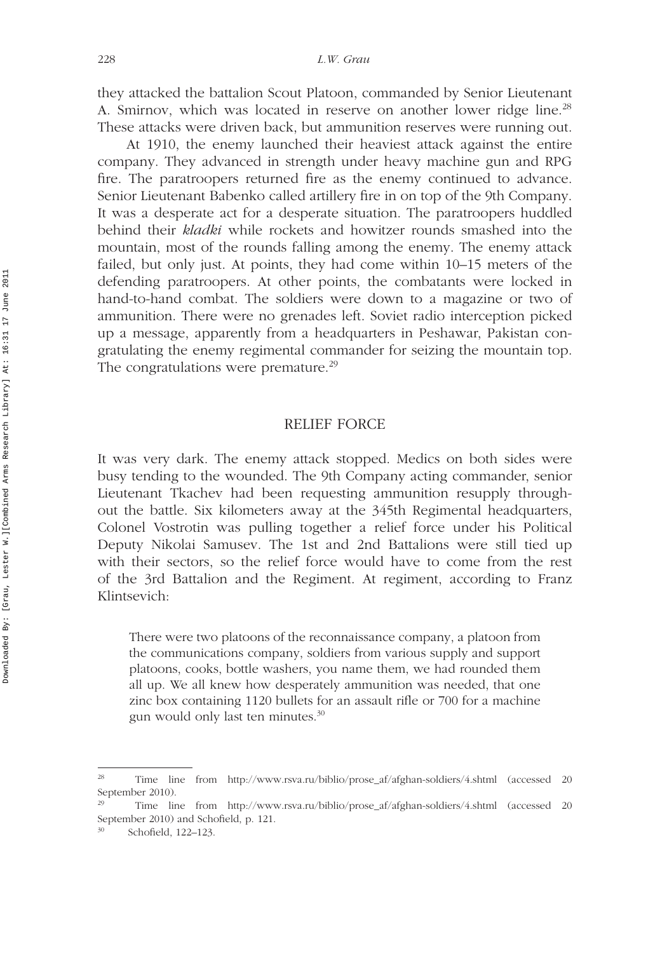they attacked the battalion Scout Platoon, commanded by Senior Lieutenant A. Smirnov, which was located in reserve on another lower ridge line.<sup>28</sup> These attacks were driven back, but ammunition reserves were running out.

At 1910, the enemy launched their heaviest attack against the entire company. They advanced in strength under heavy machine gun and RPG fire. The paratroopers returned fire as the enemy continued to advance. Senior Lieutenant Babenko called artillery fire in on top of the 9th Company. It was a desperate act for a desperate situation. The paratroopers huddled behind their *kladki* while rockets and howitzer rounds smashed into the mountain, most of the rounds falling among the enemy. The enemy attack failed, but only just. At points, they had come within 10–15 meters of the defending paratroopers. At other points, the combatants were locked in hand-to-hand combat. The soldiers were down to a magazine or two of ammunition. There were no grenades left. Soviet radio interception picked up a message, apparently from a headquarters in Peshawar, Pakistan congratulating the enemy regimental commander for seizing the mountain top. The congratulations were premature.<sup>29</sup>

## RELIEF FORCE

It was very dark. The enemy attack stopped. Medics on both sides were busy tending to the wounded. The 9th Company acting commander, senior Lieutenant Tkachev had been requesting ammunition resupply throughout the battle. Six kilometers away at the 345th Regimental headquarters, Colonel Vostrotin was pulling together a relief force under his Political Deputy Nikolai Samusev. The 1st and 2nd Battalions were still tied up with their sectors, so the relief force would have to come from the rest of the 3rd Battalion and the Regiment. At regiment, according to Franz Klintsevich:

There were two platoons of the reconnaissance company, a platoon from the communications company, soldiers from various supply and support platoons, cooks, bottle washers, you name them, we had rounded them all up. We all knew how desperately ammunition was needed, that one zinc box containing 1120 bullets for an assault rifle or 700 for a machine gun would only last ten minutes.<sup>30</sup>

<sup>28</sup> Time line from http://www.rsva.ru/biblio/prose\_af/afghan-soldiers/4.shtml (accessed 20 September 2010).

<sup>29</sup> Time line from http://www.rsva.ru/biblio/prose\_af/afghan-soldiers/4.shtml (accessed 20 September 2010) and Schofield, p. 121.

Schofield, 122-123.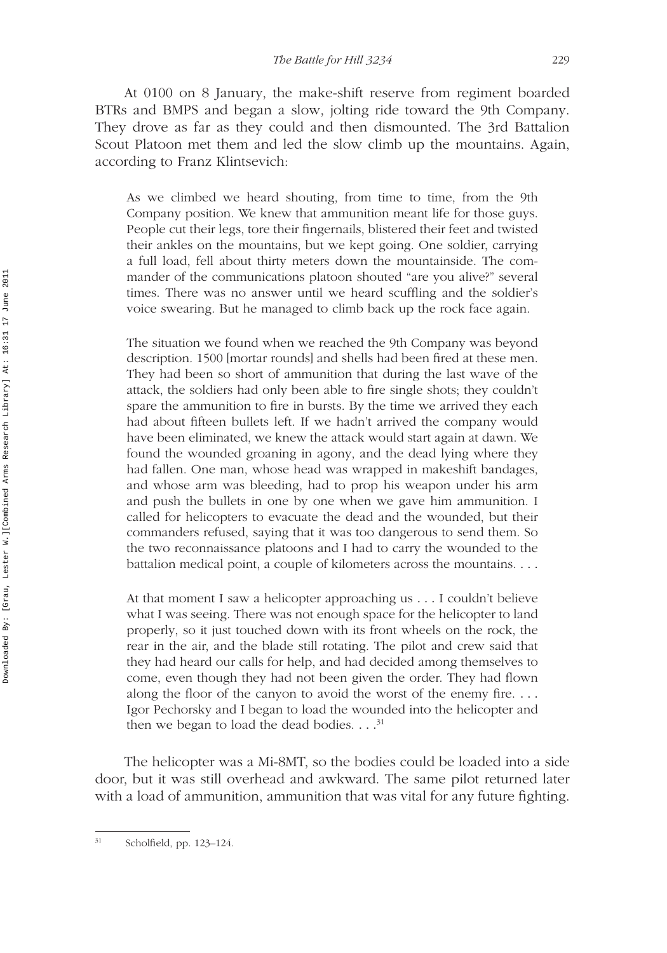At 0100 on 8 January, the make-shift reserve from regiment boarded BTRs and BMPS and began a slow, jolting ride toward the 9th Company. They drove as far as they could and then dismounted. The 3rd Battalion Scout Platoon met them and led the slow climb up the mountains. Again, according to Franz Klintsevich:

As we climbed we heard shouting, from time to time, from the 9th Company position. We knew that ammunition meant life for those guys. People cut their legs, tore their fingernails, blistered their feet and twisted their ankles on the mountains, but we kept going. One soldier, carrying a full load, fell about thirty meters down the mountainside. The commander of the communications platoon shouted "are you alive?" several times. There was no answer until we heard scuffling and the soldier's voice swearing. But he managed to climb back up the rock face again.

The situation we found when we reached the 9th Company was beyond description. 1500 [mortar rounds] and shells had been fired at these men. They had been so short of ammunition that during the last wave of the attack, the soldiers had only been able to fire single shots; they couldn't spare the ammunition to fire in bursts. By the time we arrived they each had about fifteen bullets left. If we hadn't arrived the company would have been eliminated, we knew the attack would start again at dawn. We found the wounded groaning in agony, and the dead lying where they had fallen. One man, whose head was wrapped in makeshift bandages, and whose arm was bleeding, had to prop his weapon under his arm and push the bullets in one by one when we gave him ammunition. I called for helicopters to evacuate the dead and the wounded, but their commanders refused, saying that it was too dangerous to send them. So the two reconnaissance platoons and I had to carry the wounded to the battalion medical point, a couple of kilometers across the mountains. *...*

At that moment I saw a helicopter approaching us *...* I couldn't believe what I was seeing. There was not enough space for the helicopter to land properly, so it just touched down with its front wheels on the rock, the rear in the air, and the blade still rotating. The pilot and crew said that they had heard our calls for help, and had decided among themselves to come, even though they had not been given the order. They had flown along the floor of the canyon to avoid the worst of the enemy fire. *...* Igor Pechorsky and I began to load the wounded into the helicopter and then we began to load the dead bodies. *...*<sup>31</sup>

The helicopter was a Mi-8MT, so the bodies could be loaded into a side door, but it was still overhead and awkward. The same pilot returned later with a load of ammunition, ammunition that was vital for any future fighting.

<sup>31</sup> Scholfield, pp. 123–124.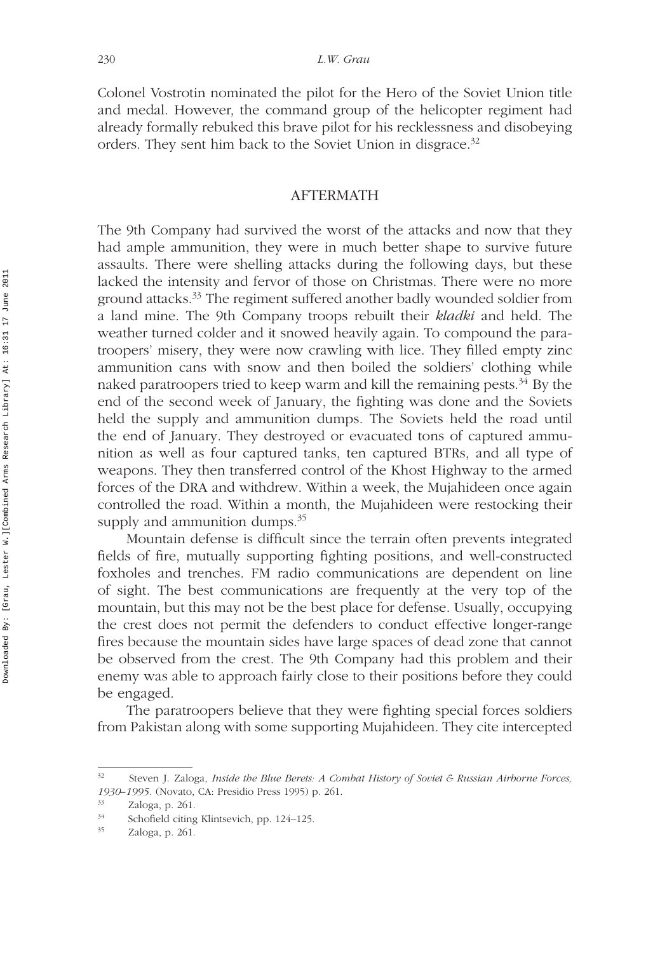Colonel Vostrotin nominated the pilot for the Hero of the Soviet Union title and medal. However, the command group of the helicopter regiment had already formally rebuked this brave pilot for his recklessness and disobeying orders. They sent him back to the Soviet Union in disgrace.<sup>32</sup>

#### AFTERMATH

The 9th Company had survived the worst of the attacks and now that they had ample ammunition, they were in much better shape to survive future assaults. There were shelling attacks during the following days, but these lacked the intensity and fervor of those on Christmas. There were no more ground attacks.33 The regiment suffered another badly wounded soldier from a land mine. The 9th Company troops rebuilt their *kladki* and held. The weather turned colder and it snowed heavily again. To compound the paratroopers' misery, they were now crawling with lice. They filled empty zinc ammunition cans with snow and then boiled the soldiers' clothing while naked paratroopers tried to keep warm and kill the remaining pests. $34$  By the end of the second week of January, the fighting was done and the Soviets held the supply and ammunition dumps. The Soviets held the road until the end of January. They destroyed or evacuated tons of captured ammunition as well as four captured tanks, ten captured BTRs, and all type of weapons. They then transferred control of the Khost Highway to the armed forces of the DRA and withdrew. Within a week, the Mujahideen once again controlled the road. Within a month, the Mujahideen were restocking their supply and ammunition dumps.<sup>35</sup>

Mountain defense is difficult since the terrain often prevents integrated fields of fire, mutually supporting fighting positions, and well-constructed foxholes and trenches. FM radio communications are dependent on line of sight. The best communications are frequently at the very top of the mountain, but this may not be the best place for defense. Usually, occupying the crest does not permit the defenders to conduct effective longer-range fires because the mountain sides have large spaces of dead zone that cannot be observed from the crest. The 9th Company had this problem and their enemy was able to approach fairly close to their positions before they could be engaged.

The paratroopers believe that they were fighting special forces soldiers from Pakistan along with some supporting Mujahideen. They cite intercepted

<sup>32</sup> Steven J. Zaloga, *Inside the Blue Berets: A Combat History of Soviet & Russian Airborne Forces, 1930–1995*. (Novato, CA: Presidio Press 1995) p. 261.

 $\frac{33}{34}$  Zaloga, p. 261.

 $\frac{34}{25}$  Schofield citing Klintsevich, pp. 124–125.

Zaloga, p. 261.